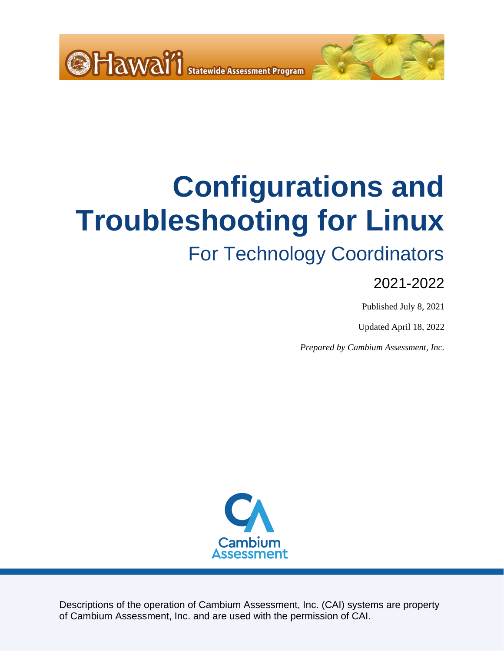<span id="page-0-0"></span>

# For Technology Coordinators

## 2021-2022

Published July 8, 2021

Updated April 18, 2022

*Prepared by Cambium Assessment, Inc.*



Descriptions of the operation of Cambium Assessment, Inc. (CAI) systems are property of Cambium Assessment, Inc. and are used with the permission of CAI.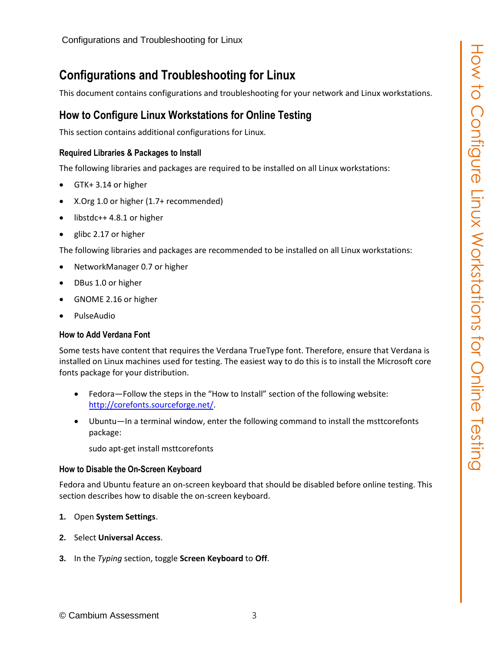<span id="page-2-0"></span>This document contains configurations and troubleshooting for your network and Linux workstations.

### <span id="page-2-1"></span>**How to Configure Linux Workstations for Online Testing**

This section contains additional configurations for Linux.

#### <span id="page-2-2"></span>**Required Libraries & Packages to Install**

The following libraries and packages are required to be installed on all Linux workstations:

- GTK+ 3.14 or higher
- X.Org 1.0 or higher (1.7+ recommended)
- libstdc++ 4.8.1 or higher
- glibc 2.17 or higher

The following libraries and packages are recommended to be installed on all Linux workstations:

- NetworkManager 0.7 or higher
- DBus 1.0 or higher
- GNOME 2.16 or higher
- PulseAudio

#### <span id="page-2-3"></span>**How to Add Verdana Font**

Some tests have content that requires the Verdana TrueType font. Therefore, ensure that Verdana is installed on Linux machines used for testing. The easiest way to do this is to install the Microsoft core fonts package for your distribution.

- Fedora—Follow the steps in the "How to Install" section of the following website: [http://corefonts.sourceforge.net/.](http://corefonts.sourceforge.net/)
- Ubuntu—In a terminal window, enter the following command to install the msttcorefonts package:

sudo apt-get install msttcorefonts

#### <span id="page-2-4"></span>**How to Disable the On-Screen Keyboard**

Fedora and Ubuntu feature an on-screen keyboard that should be disabled before online testing. This section describes how to disable the on-screen keyboard.

- **1.** Open **System Settings**.
- **2.** Select **Universal Access**.
- **3.** In the *Typing* section, toggle **Screen Keyboard** to **Off**.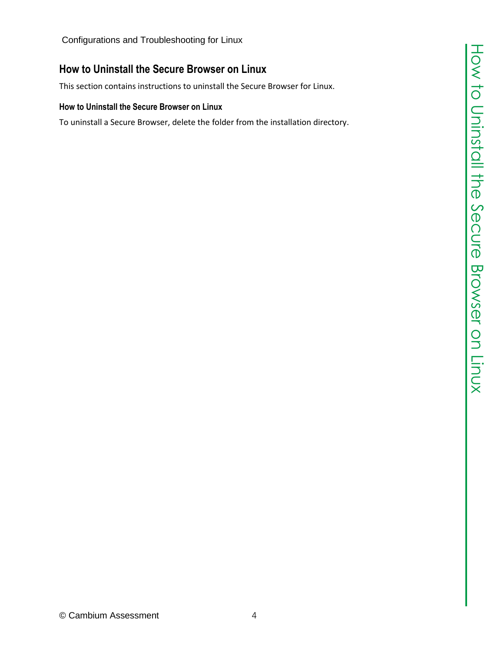### <span id="page-3-0"></span>**How to Uninstall the Secure Browser on Linux**

This section contains instructions to uninstall the Secure Browser for Linux.

#### <span id="page-3-1"></span>**How to Uninstall the Secure Browser on Linux**

To uninstall a Secure Browser, delete the folder from the installation directory.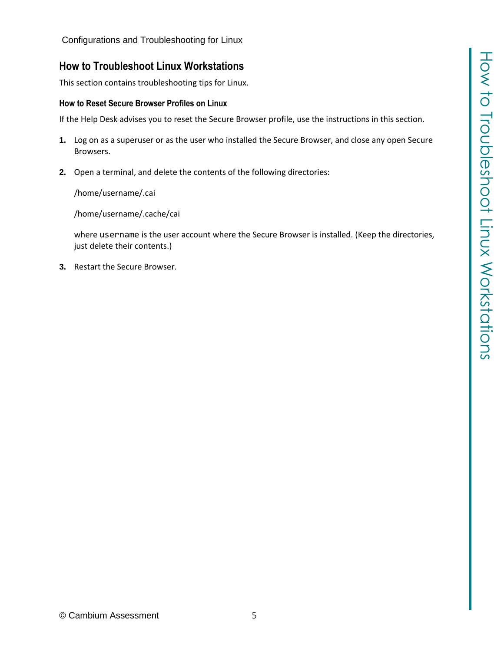#### <span id="page-4-0"></span>**How to Troubleshoot Linux Workstations**

This section contains troubleshooting tips for Linux.

#### <span id="page-4-1"></span>**How to Reset Secure Browser Profiles on Linux**

If the Help Desk advises you to reset the Secure Browser profile, use the instructions in this section.

- **1.** Log on as a superuser or as the user who installed the Secure Browser, and close any open Secure Browsers.
- **2.** Open a terminal, and delete the contents of the following directories:

/home/username/.cai

/home/username/.cache/cai

where username is the user account where the Secure Browser is installed. (Keep the directories, just delete their contents.)

**3.** Restart the Secure Browser.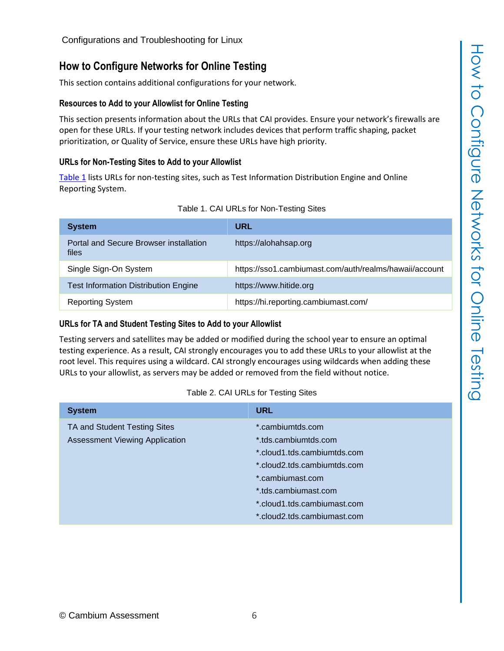#### <span id="page-5-0"></span>**How to Configure Networks for Online Testing**

This section contains additional configurations for your network.

#### <span id="page-5-1"></span>**Resources to Add to your Allowlist for Online Testing**

This section presents information about the URLs that CAI provides. Ensure your network's firewalls are open for these URLs. If your testing network includes devices that perform traffic shaping, packet prioritization, or Quality of Service, ensure these URLs have high priority.

#### <span id="page-5-2"></span>**URLs for Non-Testing Sites to Add to your Allowlist**

[Table](#page-5-4) 1 lists URLs for non-testing sites, such as Test Information Distribution Engine and Online Reporting System.

<span id="page-5-4"></span>

| <b>System</b>                                   | <b>URL</b>                                             |
|-------------------------------------------------|--------------------------------------------------------|
| Portal and Secure Browser installation<br>files | https://alohahsap.org                                  |
| Single Sign-On System                           | https://sso1.cambiumast.com/auth/realms/hawaii/account |
| <b>Test Information Distribution Engine</b>     | https://www.hitide.org                                 |
| <b>Reporting System</b>                         | https://hi.reporting.cambiumast.com/                   |

|  |  | Table 1. CAI URLs for Non-Testing Sites |
|--|--|-----------------------------------------|
|--|--|-----------------------------------------|

#### <span id="page-5-3"></span>**URLs for TA and Student Testing Sites to Add to your Allowlist**

Testing servers and satellites may be added or modified during the school year to ensure an optimal testing experience. As a result, CAI strongly encourages you to add these URLs to your allowlist at the root level. This requires using a wildcard. CAI strongly encourages using wildcards when adding these URLs to your allowlist, as servers may be added or removed from the field without notice.

#### Table 2. CAI URLs for Testing Sites

<span id="page-5-5"></span>

| <b>System</b>                         | <b>URL</b>                  |
|---------------------------------------|-----------------------------|
| TA and Student Testing Sites          | *.cambiumtds.com            |
| <b>Assessment Viewing Application</b> | * tds.cambiumtds.com        |
|                                       | *.cloud1.tds.cambiumtds.com |
|                                       | *.cloud2.tds.cambiumtds.com |
|                                       | *.cambiumast.com            |
|                                       | *.tds.cambiumast.com        |
|                                       | *.cloud1.tds.cambiumast.com |
|                                       | *.cloud2.tds.cambiumast.com |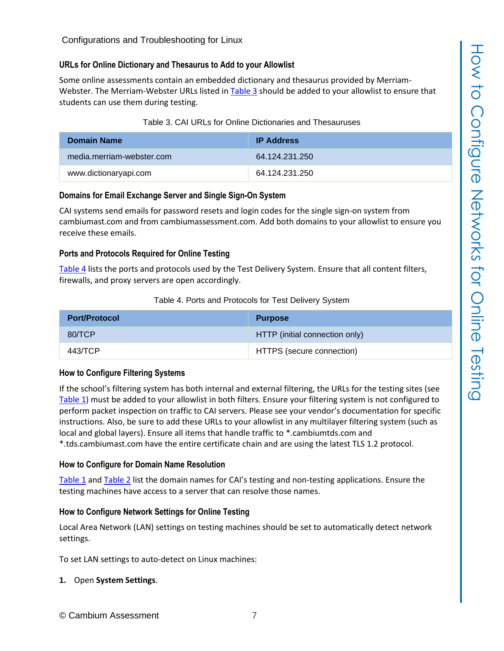#### <span id="page-6-0"></span>**URLs for Online Dictionary and Thesaurus to Add to your Allowlist**

Some online assessments contain an embedded dictionary and thesaurus provided by Merriam-Webster. The Merriam-Webster URLs listed in [Table](#page-6-6) 3 should be added to your allowlist to ensure that students can use them during testing.

#### Table 3. CAI URLs for Online Dictionaries and Thesauruses

<span id="page-6-6"></span>

| <b>Domain Name</b>        | <b>IP Address</b> |
|---------------------------|-------------------|
| media.merriam-webster.com | 64.124.231.250    |
| www.dictionaryapi.com     | 64 124 231 250    |

#### <span id="page-6-1"></span>**Domains for Email Exchange Server and Single Sign-On System**

CAI systems send emails for password resets and login codes for the single sign-on system from cambiumast.com and from cambiumassessment.com. Add both domains to your allowlist to ensure you receive these emails.

#### <span id="page-6-2"></span>**Ports and Protocols Required for Online Testing**

[Table](#page-6-7) 4 lists the ports and protocols used by the Test Delivery System. Ensure that all content filters, firewalls, and proxy servers are open accordingly.

#### Table 4. Ports and Protocols for Test Delivery System

<span id="page-6-7"></span>

| <b>Port/Protocol</b> | <b>Purpose</b>                 |
|----------------------|--------------------------------|
| 80/TCP               | HTTP (initial connection only) |
| 443/TCP              | HTTPS (secure connection)      |

#### <span id="page-6-3"></span>**How to Configure Filtering Systems**

If the school's filtering system has both internal and external filtering, the URLs for the testing sites (see [Table](#page-5-4) 1) must be added to your allowlist in both filters. Ensure your filtering system is not configured to perform packet inspection on traffic to CAI servers. Please see your vendor's documentation for specific instructions. Also, be sure to add these URLs to your allowlist in any multilayer filtering system (such as local and global layers). Ensure all items that handle traffic to \*.cambiumtds.com and

\*.tds.cambiumast.com have the entire certificate chain and are using the latest TLS 1.2 protocol.

#### <span id="page-6-4"></span>**How to Configure for Domain Name Resolution**

[Table](#page-5-4) 1 and [Table](#page-5-5) 2 list the domain names for CAI's testing and non-testing applications. Ensure the testing machines have access to a server that can resolve those names.

#### <span id="page-6-5"></span>**How to Configure Network Settings for Online Testing**

Local Area Network (LAN) settings on testing machines should be set to automatically detect network settings.

To set LAN settings to auto-detect on Linux machines:

#### **1.** Open **System Settings**.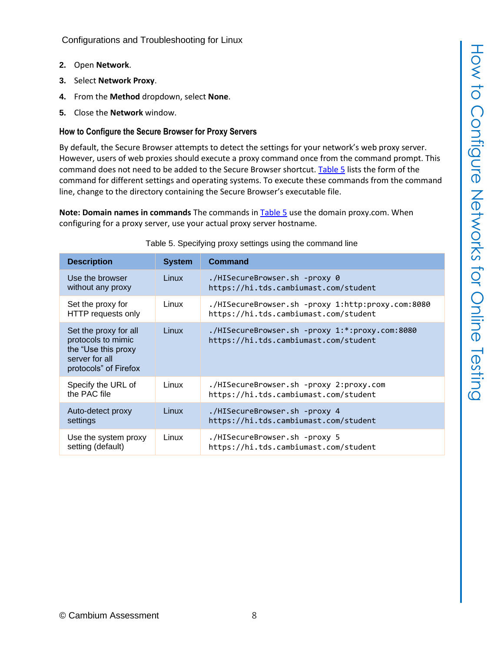- **2.** Open **Network**.
- **3.** Select **Network Proxy**.
- **4.** From the **Method** dropdown, select **None**.
- **5.** Close the **Network** window.

#### <span id="page-7-0"></span>**How to Configure the Secure Browser for Proxy Servers**

By default, the Secure Browser attempts to detect the settings for your network's web proxy server. However, users of web proxies should execute a proxy command once from the command prompt. This command does not need to be added to the Secure Browser shortcut[. Table](#page-7-1) 5 lists the form of the command for different settings and operating systems. To execute these commands from the command line, change to the directory containing the Secure Browser's executable file.

**Note: Domain names in commands** The commands in [Table](#page-7-1) 5 use the domain proxy.com. When configuring for a proxy server, use your actual proxy server hostname.

<span id="page-7-1"></span>

| <b>Description</b>                                                                                            | <b>System</b> | <b>Command</b>                                                                             |
|---------------------------------------------------------------------------------------------------------------|---------------|--------------------------------------------------------------------------------------------|
| Use the browser<br>without any proxy                                                                          | Linux         | ./HISecureBrowser.sh -proxy 0<br>https://hi.tds.cambiumast.com/student                     |
| Set the proxy for<br>HTTP requests only                                                                       | Linux         | ./HISecureBrowser.sh -proxy 1:http:proxy.com:8080<br>https://hi.tds.cambiumast.com/student |
| Set the proxy for all<br>protocols to mimic<br>the "Use this proxy<br>server for all<br>protocols" of Firefox | Linux         | ./HISecureBrowser.sh -proxy 1:*:proxy.com:8080<br>https://hi.tds.cambiumast.com/student    |
| Specify the URL of<br>the PAC file                                                                            | Linux         | ./HISecureBrowser.sh -proxy 2:proxy.com<br>https://hi.tds.cambiumast.com/student           |
| Auto-detect proxy<br>settings                                                                                 | Linux         | ./HISecureBrowser.sh -proxy 4<br>https://hi.tds.cambiumast.com/student                     |
| Use the system proxy<br>setting (default)                                                                     | Linux         | ./HISecureBrowser.sh -proxy 5<br>https://hi.tds.cambiumast.com/student                     |

#### Table 5. Specifying proxy settings using the command line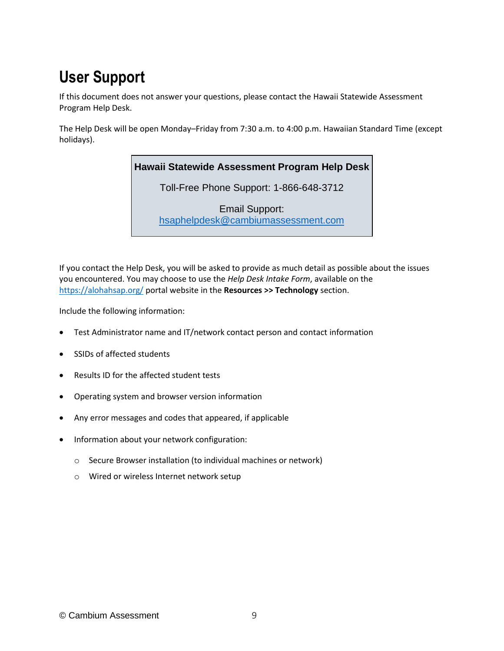# <span id="page-8-0"></span>**User Support**

If this document does not answer your questions, please contact the Hawaii Statewide Assessment Program Help Desk.

The Help Desk will be open Monday–Friday from 7:30 a.m. to 4:00 p.m. Hawaiian Standard Time (except holidays).

#### **Hawaii Statewide Assessment Program Help Desk**

Toll-Free Phone Support: 1-866-648-3712

Email Support: [hsaphelpdesk@cambiumassessment.com](mailto:hsaphelpdesk@cambiumassessment.com)

If you contact the Help Desk, you will be asked to provide as much detail as possible about the issues you encountered. You may choose to use the *Help Desk Intake Form*, available on the <https://alohahsap.org/> portal website in the **Resources >> Technology** section.

Include the following information:

- Test Administrator name and IT/network contact person and contact information
- SSIDs of affected students
- Results ID for the affected student tests
- Operating system and browser version information
- Any error messages and codes that appeared, if applicable
- Information about your network configuration:
	- o Secure Browser installation (to individual machines or network)
	- o Wired or wireless Internet network setup